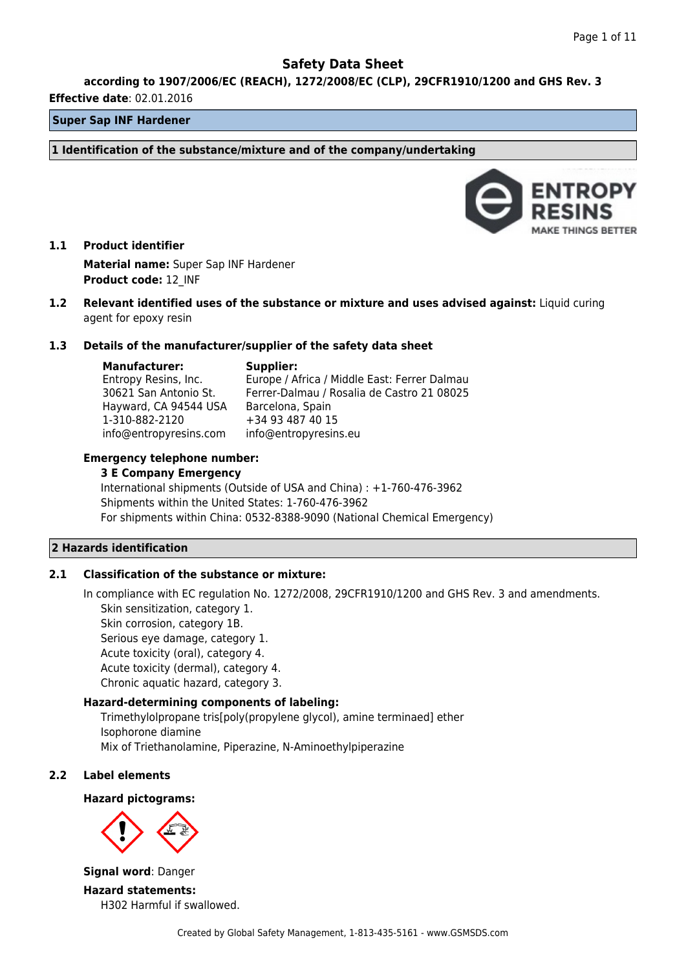**according to 1907/2006/EC (REACH), 1272/2008/EC (CLP), 29CFR1910/1200 and GHS Rev. 3**

#### **Effective date**: 02.01.2016

## **Super Sap INF Hardener**

**1 Identification of the substance/mixture and of the company/undertaking**



# **1.1 Product identifier Material name:** Super Sap INF Hardener **Product code:** 12\_INF

**1.2 Relevant identified uses of the substance or mixture and uses advised against:** Liquid curing agent for epoxy resin

#### **1.3 Details of the manufacturer/supplier of the safety data sheet**

**Manufacturer:**

## **Supplier:**

Entropy Resins, Inc. 30621 San Antonio St. Hayward, CA 94544 USA 1-310-882-2120 info@entropyresins.com Europe / Africa / Middle East: Ferrer Dalmau Ferrer-Dalmau / Rosalia de Castro 21 08025 Barcelona, Spain +34 93 487 40 15 info@entropyresins.eu

### **Emergency telephone number:**

#### **3 E Company Emergency**

International shipments (Outside of USA and China) : +1-760-476-3962 Shipments within the United States: 1-760-476-3962 For shipments within China: 0532-8388-9090 (National Chemical Emergency)

#### **2 Hazards identification**

## **2.1 Classification of the substance or mixture:**

In compliance with EC regulation No. 1272/2008, 29CFR1910/1200 and GHS Rev. 3 and amendments. Skin sensitization, category 1. Skin corrosion, category 1B. Serious eye damage, category 1. Acute toxicity (oral), category 4. Acute toxicity (dermal), category 4. Chronic aquatic hazard, category 3.

# **Hazard-determining components of labeling:**

Trimethylolpropane tris[poly(propylene glycol), amine terminaed] ether Isophorone diamine Mix of Triethanolamine, Piperazine, N-Aminoethylpiperazine

#### **2.2 Label elements**

#### **Hazard pictograms:**



**Signal word**: Danger

**Hazard statements:** H302 Harmful if swallowed.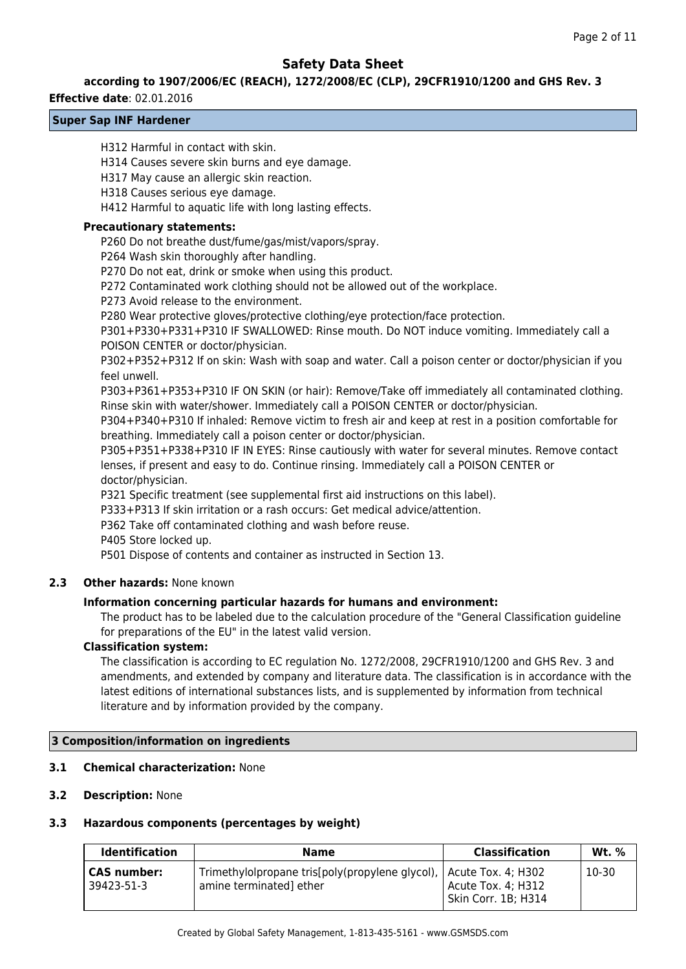#### **according to 1907/2006/EC (REACH), 1272/2008/EC (CLP), 29CFR1910/1200 and GHS Rev. 3**

#### **Effective date**: 02.01.2016

## **Super Sap INF Hardener**

H312 Harmful in contact with skin.

H314 Causes severe skin burns and eye damage.

H317 May cause an allergic skin reaction.

H318 Causes serious eye damage.

H412 Harmful to aquatic life with long lasting effects.

#### **Precautionary statements:**

P260 Do not breathe dust/fume/gas/mist/vapors/spray.

P264 Wash skin thoroughly after handling.

P270 Do not eat, drink or smoke when using this product.

P272 Contaminated work clothing should not be allowed out of the workplace.

P273 Avoid release to the environment.

P280 Wear protective gloves/protective clothing/eye protection/face protection.

P301+P330+P331+P310 IF SWALLOWED: Rinse mouth. Do NOT induce vomiting. Immediately call a POISON CENTER or doctor/physician.

P302+P352+P312 If on skin: Wash with soap and water. Call a poison center or doctor/physician if you feel unwell.

P303+P361+P353+P310 IF ON SKIN (or hair): Remove/Take off immediately all contaminated clothing. Rinse skin with water/shower. Immediately call a POISON CENTER or doctor/physician.

P304+P340+P310 If inhaled: Remove victim to fresh air and keep at rest in a position comfortable for breathing. Immediately call a poison center or doctor/physician.

P305+P351+P338+P310 IF IN EYES: Rinse cautiously with water for several minutes. Remove contact lenses, if present and easy to do. Continue rinsing. Immediately call a POISON CENTER or doctor/physician.

P321 Specific treatment (see supplemental first aid instructions on this label).

P333+P313 If skin irritation or a rash occurs: Get medical advice/attention.

P362 Take off contaminated clothing and wash before reuse.

P405 Store locked up.

P501 Dispose of contents and container as instructed in Section 13.

## **2.3 Other hazards:** None known

#### **Information concerning particular hazards for humans and environment:**

The product has to be labeled due to the calculation procedure of the "General Classification guideline for preparations of the EU" in the latest valid version.

### **Classification system:**

The classification is according to EC regulation No. 1272/2008, 29CFR1910/1200 and GHS Rev. 3 and amendments, and extended by company and literature data. The classification is in accordance with the latest editions of international substances lists, and is supplemented by information from technical literature and by information provided by the company.

#### **3 Composition/information on ingredients**

#### **3.1 Chemical characterization:** None

## **3.2 Description:** None

#### **3.3 Hazardous components (percentages by weight)**

| <b>Identification</b> | <b>Name</b>                                                          | <b>Classification</b> | Wt. % |
|-----------------------|----------------------------------------------------------------------|-----------------------|-------|
| CAS number:           | Trimethylolpropane tris[poly(propylene glycol),   Acute Tox. 4; H302 | Acute Tox. 4; H312    | 10-30 |
| 39423-51-3            | amine terminated] ether                                              | Skin Corr. 1B; H314   |       |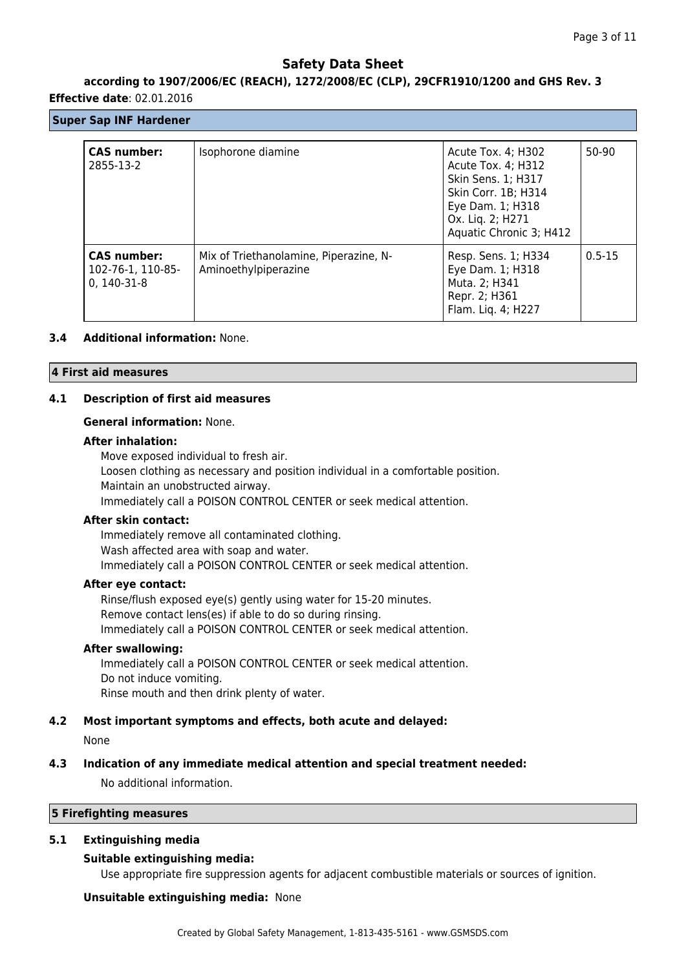## **according to 1907/2006/EC (REACH), 1272/2008/EC (CLP), 29CFR1910/1200 and GHS Rev. 3**

### **Effective date**: 02.01.2016

## **Super Sap INF Hardener**

| <b>CAS number:</b><br>2855-13-2                          | Isophorone diamine                                             | Acute Tox. 4; H302<br>Acute Tox. 4; H312<br>Skin Sens. 1; H317<br>Skin Corr. 1B; H314<br>Eye Dam. 1; H318<br>Ox. Liq. 2; H271<br>Aquatic Chronic 3; H412 | 50-90      |
|----------------------------------------------------------|----------------------------------------------------------------|----------------------------------------------------------------------------------------------------------------------------------------------------------|------------|
| <b>CAS number:</b><br>102-76-1, 110-85-<br>$0, 140-31-8$ | Mix of Triethanolamine, Piperazine, N-<br>Aminoethylpiperazine | Resp. Sens. 1; H334<br>Eye Dam. 1; H318<br>Muta. 2; H341<br>Repr. 2; H361<br>Flam. Liq. 4; H227                                                          | $0.5 - 15$ |

## **3.4 Additional information:** None.

### **4 First aid measures**

## **4.1 Description of first aid measures**

## **General information:** None.

### **After inhalation:**

Move exposed individual to fresh air. Loosen clothing as necessary and position individual in a comfortable position. Maintain an unobstructed airway. Immediately call a POISON CONTROL CENTER or seek medical attention.

#### **After skin contact:**

Immediately remove all contaminated clothing. Wash affected area with soap and water. Immediately call a POISON CONTROL CENTER or seek medical attention.

#### **After eye contact:**

Rinse/flush exposed eye(s) gently using water for 15-20 minutes. Remove contact lens(es) if able to do so during rinsing. Immediately call a POISON CONTROL CENTER or seek medical attention.

#### **After swallowing:**

Immediately call a POISON CONTROL CENTER or seek medical attention. Do not induce vomiting. Rinse mouth and then drink plenty of water.

## **4.2 Most important symptoms and effects, both acute and delayed:**

None

# **4.3 Indication of any immediate medical attention and special treatment needed:**

No additional information.

### **5 Firefighting measures**

## **5.1 Extinguishing media**

## **Suitable extinguishing media:**

Use appropriate fire suppression agents for adjacent combustible materials or sources of ignition.

## **Unsuitable extinguishing media:** None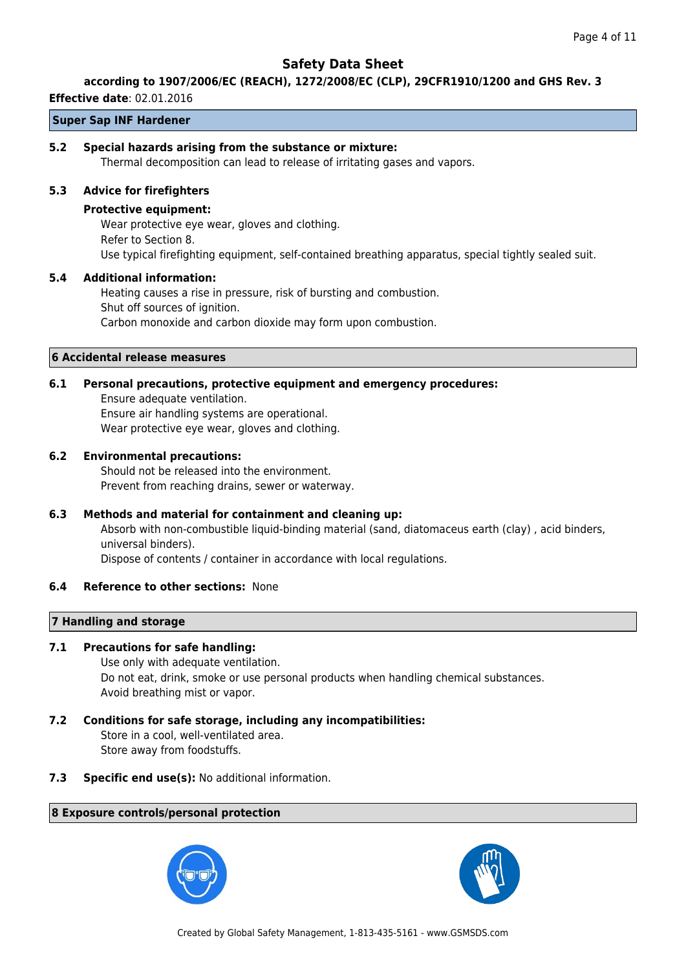#### **according to 1907/2006/EC (REACH), 1272/2008/EC (CLP), 29CFR1910/1200 and GHS Rev. 3**

#### **Effective date**: 02.01.2016

## **Super Sap INF Hardener**

### **5.2 Special hazards arising from the substance or mixture:**

Thermal decomposition can lead to release of irritating gases and vapors.

### **5.3 Advice for firefighters**

#### **Protective equipment:**

Wear protective eye wear, gloves and clothing. Refer to Section 8. Use typical firefighting equipment, self-contained breathing apparatus, special tightly sealed suit.

### **5.4 Additional information:**

Heating causes a rise in pressure, risk of bursting and combustion. Shut off sources of ignition. Carbon monoxide and carbon dioxide may form upon combustion.

#### **6 Accidental release measures**

## **6.1 Personal precautions, protective equipment and emergency procedures:**

Ensure adequate ventilation. Ensure air handling systems are operational. Wear protective eye wear, gloves and clothing.

### **6.2 Environmental precautions:**

Should not be released into the environment. Prevent from reaching drains, sewer or waterway.

## **6.3 Methods and material for containment and cleaning up:**

Absorb with non-combustible liquid-binding material (sand, diatomaceus earth (clay) , acid binders, universal binders).

Dispose of contents / container in accordance with local regulations.

#### **6.4 Reference to other sections:** None

## **7 Handling and storage**

## **7.1 Precautions for safe handling:**

Use only with adequate ventilation. Do not eat, drink, smoke or use personal products when handling chemical substances. Avoid breathing mist or vapor.

## **7.2 Conditions for safe storage, including any incompatibilities:** Store in a cool, well-ventilated area. Store away from foodstuffs.

**7.3 Specific end use(s):** No additional information.

## **8 Exposure controls/personal protection**



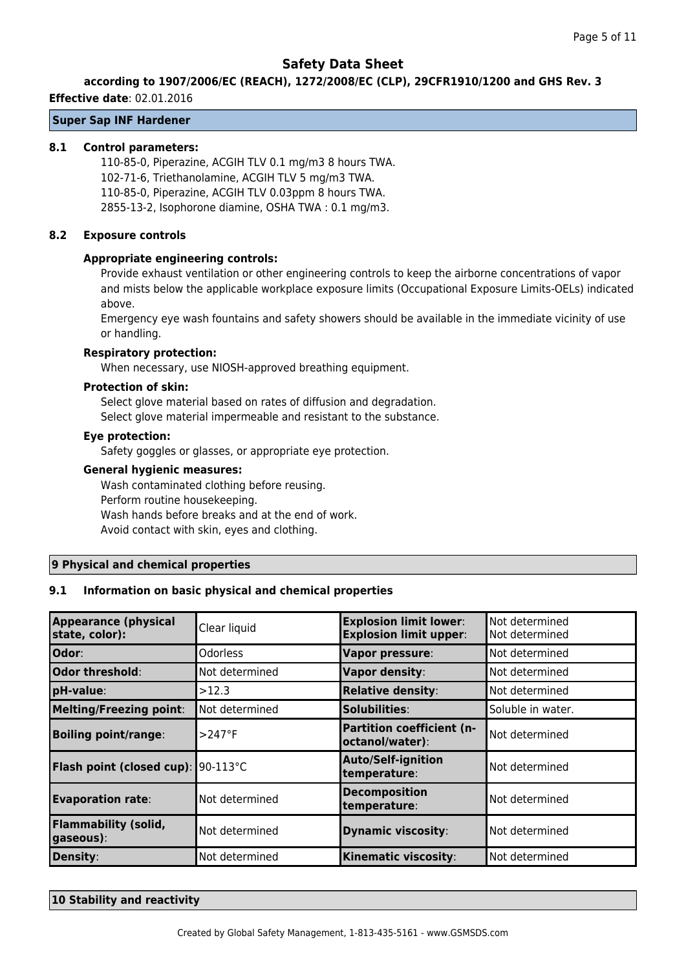#### **according to 1907/2006/EC (REACH), 1272/2008/EC (CLP), 29CFR1910/1200 and GHS Rev. 3**

#### **Effective date**: 02.01.2016

## **Super Sap INF Hardener**

### **8.1 Control parameters:**

110-85-0, Piperazine, ACGIH TLV 0.1 mg/m3 8 hours TWA. 102-71-6, Triethanolamine, ACGIH TLV 5 mg/m3 TWA. 110-85-0, Piperazine, ACGIH TLV 0.03ppm 8 hours TWA. 2855-13-2, Isophorone diamine, OSHA TWA : 0.1 mg/m3.

### **8.2 Exposure controls**

### **Appropriate engineering controls:**

Provide exhaust ventilation or other engineering controls to keep the airborne concentrations of vapor and mists below the applicable workplace exposure limits (Occupational Exposure Limits-OELs) indicated above.

Emergency eye wash fountains and safety showers should be available in the immediate vicinity of use or handling.

#### **Respiratory protection:**

When necessary, use NIOSH-approved breathing equipment.

#### **Protection of skin:**

Select glove material based on rates of diffusion and degradation. Select glove material impermeable and resistant to the substance.

## **Eye protection:**

Safety goggles or glasses, or appropriate eye protection.

#### **General hygienic measures:**

Wash contaminated clothing before reusing. Perform routine housekeeping. Wash hands before breaks and at the end of work. Avoid contact with skin, eyes and clothing.

#### **9 Physical and chemical properties**

## **9.1 Information on basic physical and chemical properties**

| <b>Appearance (physical</b><br>state, color): | Clear liquid    | <b>Explosion limit lower:</b><br><b>Explosion limit upper:</b> | Not determined<br>Not determined |
|-----------------------------------------------|-----------------|----------------------------------------------------------------|----------------------------------|
| Odor:                                         | <b>Odorless</b> | Vapor pressure:                                                | Not determined                   |
| Odor threshold:                               | Not determined  | Vapor density:                                                 | Not determined                   |
| pH-value:                                     | >12.3           | <b>Relative density:</b>                                       | Not determined                   |
| <b>Melting/Freezing point:</b>                | Not determined  | Solubilities:                                                  | Soluble in water.                |
| <b>Boiling point/range:</b>                   | $>247$ °F       | Partition coefficient (n-<br>octanol/water):                   | Not determined                   |
| <b>Flash point (closed cup): 90-113°C</b>     |                 | <b>Auto/Self-ignition</b><br>temperature:                      | Not determined                   |
| <b>Evaporation rate:</b>                      | Not determined  | <b>Decomposition</b><br>temperature:                           | Not determined                   |
| <b>Flammability (solid,</b><br>gaseous):      | Not determined  | <b>Dynamic viscosity:</b>                                      | Not determined                   |
| Density:                                      | Not determined  | <b>Kinematic viscosity:</b>                                    | Not determined                   |

#### **10 Stability and reactivity**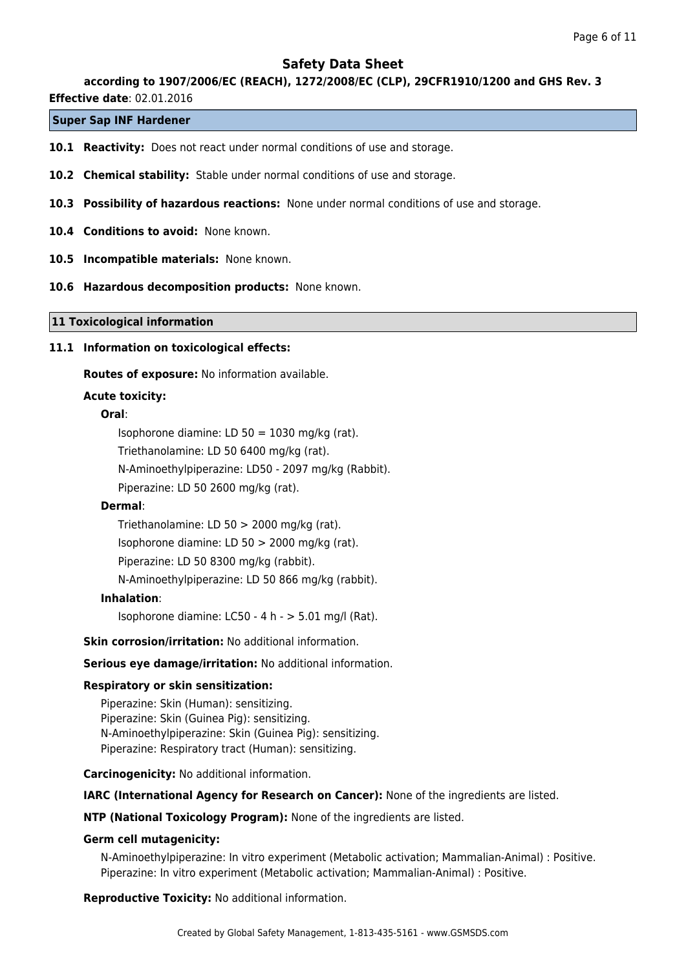### **according to 1907/2006/EC (REACH), 1272/2008/EC (CLP), 29CFR1910/1200 and GHS Rev. 3**

**Effective date**: 02.01.2016

## **Super Sap INF Hardener**

- **10.1 Reactivity:** Does not react under normal conditions of use and storage.
- **10.2 Chemical stability:** Stable under normal conditions of use and storage.
- **10.3 Possibility of hazardous reactions:** None under normal conditions of use and storage.
- **10.4 Conditions to avoid:** None known.
- **10.5 Incompatible materials:** None known.
- **10.6 Hazardous decomposition products:** None known.

#### **11 Toxicological information**

#### **11.1 Information on toxicological effects:**

**Routes of exposure:** No information available.

#### **Acute toxicity:**

### **Oral**:

Isophorone diamine: LD 50 = 1030 mg/kg (rat). Triethanolamine: LD 50 6400 mg/kg (rat). N-Aminoethylpiperazine: LD50 - 2097 mg/kg (Rabbit). Piperazine: LD 50 2600 mg/kg (rat).

#### **Dermal**:

Triethanolamine: LD 50 > 2000 mg/kg (rat). Isophorone diamine: LD 50 > 2000 mg/kg (rat). Piperazine: LD 50 8300 mg/kg (rabbit).

N-Aminoethylpiperazine: LD 50 866 mg/kg (rabbit).

## **Inhalation**:

Isophorone diamine: LC50 - 4 h - > 5.01 mg/l (Rat).

#### **Skin corrosion/irritation:** No additional information.

**Serious eye damage/irritation:** No additional information.

#### **Respiratory or skin sensitization:**

Piperazine: Skin (Human): sensitizing. Piperazine: Skin (Guinea Pig): sensitizing. N-Aminoethylpiperazine: Skin (Guinea Pig): sensitizing. Piperazine: Respiratory tract (Human): sensitizing.

**Carcinogenicity:** No additional information.

**IARC (International Agency for Research on Cancer):** None of the ingredients are listed.

**NTP (National Toxicology Program):** None of the ingredients are listed.

#### **Germ cell mutagenicity:**

N-Aminoethylpiperazine: In vitro experiment (Metabolic activation; Mammalian-Animal) : Positive. Piperazine: In vitro experiment (Metabolic activation; Mammalian-Animal) : Positive.

**Reproductive Toxicity:** No additional information.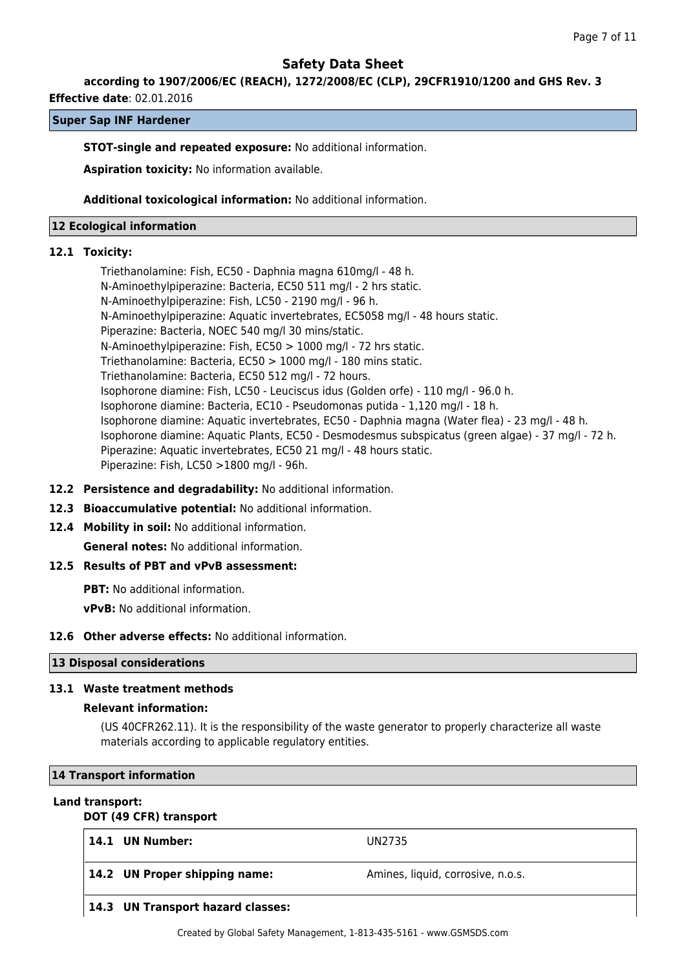**according to 1907/2006/EC (REACH), 1272/2008/EC (CLP), 29CFR1910/1200 and GHS Rev. 3**

**Effective date**: 02.01.2016

## **Super Sap INF Hardener**

#### **STOT-single and repeated exposure:** No additional information.

**Aspiration toxicity:** No information available.

**Additional toxicological information:** No additional information.

#### **12 Ecological information**

#### **12.1 Toxicity:**

Triethanolamine: Fish, EC50 - Daphnia magna 610mg/l - 48 h. N-Aminoethylpiperazine: Bacteria, EC50 511 mg/l - 2 hrs static. N-Aminoethylpiperazine: Fish, LC50 - 2190 mg/l - 96 h. N-Aminoethylpiperazine: Aquatic invertebrates, EC5058 mg/l - 48 hours static. Piperazine: Bacteria, NOEC 540 mg/l 30 mins/static. N-Aminoethylpiperazine: Fish, EC50 > 1000 mg/l - 72 hrs static. Triethanolamine: Bacteria, EC50 > 1000 mg/l - 180 mins static. Triethanolamine: Bacteria, EC50 512 mg/l - 72 hours. Isophorone diamine: Fish, LC50 - Leuciscus idus (Golden orfe) - 110 mg/l - 96.0 h. Isophorone diamine: Bacteria, EC10 - Pseudomonas putida - 1,120 mg/l - 18 h. Isophorone diamine: Aquatic invertebrates, EC50 - Daphnia magna (Water flea) - 23 mg/l - 48 h. Isophorone diamine: Aquatic Plants, EC50 - Desmodesmus subspicatus (green algae) - 37 mg/l - 72 h. Piperazine: Aquatic invertebrates, EC50 21 mg/l - 48 hours static. Piperazine: Fish, LC50 >1800 mg/l - 96h.

- **12.2 Persistence and degradability:** No additional information.
- **12.3 Bioaccumulative potential:** No additional information.
- **12.4 Mobility in soil:** No additional information.

**General notes:** No additional information.

## **12.5 Results of PBT and vPvB assessment:**

**PBT:** No additional information. **vPvB:** No additional information.

#### **12.6 Other adverse effects:** No additional information.

#### **13 Disposal considerations**

#### **13.1 Waste treatment methods**

#### **Relevant information:**

(US 40CFR262.11). It is the responsibility of the waste generator to properly characterize all waste materials according to applicable regulatory entities.

#### **14 Transport information**

#### **Land transport:**

## **DOT (49 CFR) transport**

| 14.1 UN Number:                   | UN2735                            |
|-----------------------------------|-----------------------------------|
| 14.2 UN Proper shipping name:     | Amines, liquid, corrosive, n.o.s. |
| 14.3 UN Transport hazard classes: |                                   |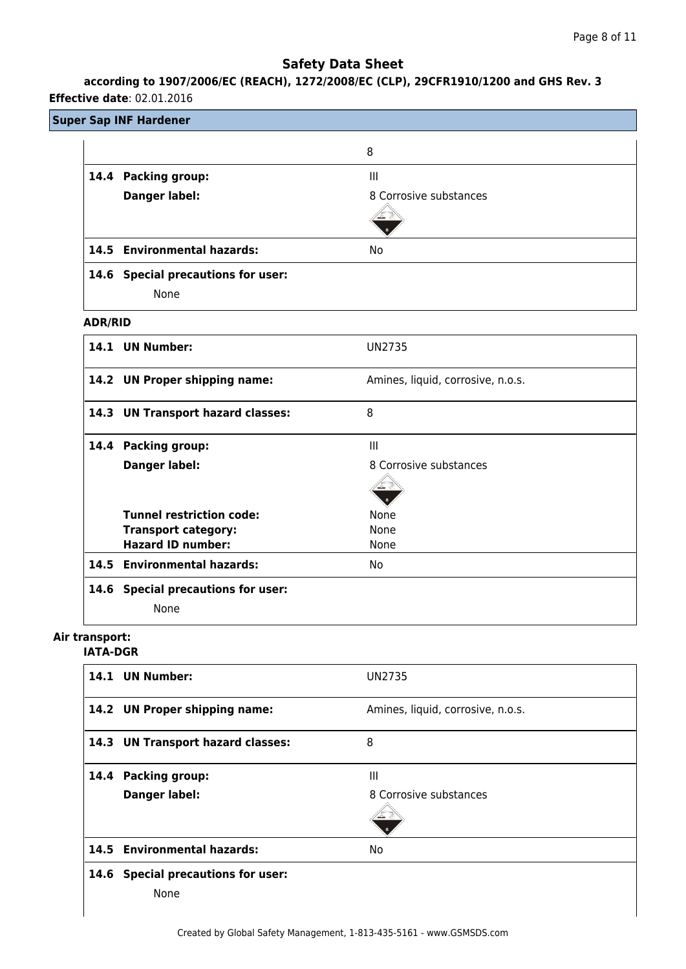# **according to 1907/2006/EC (REACH), 1272/2008/EC (CLP), 29CFR1910/1200 and GHS Rev. 3**

## **Effective date**: 02.01.2016

## **Super Sap INF Hardener**

|                |                                    | 8                      |
|----------------|------------------------------------|------------------------|
|                | 14.4 Packing group:                | Ш                      |
|                | Danger label:                      | 8 Corrosive substances |
|                |                                    |                        |
|                | 14.5 Environmental hazards:        | No.                    |
|                | 14.6 Special precautions for user: |                        |
|                | None                               |                        |
| <b>ADR/RID</b> |                                    |                        |

| 14.1 UN Number:                    | UN2735                            |
|------------------------------------|-----------------------------------|
| 14.2 UN Proper shipping name:      | Amines, liquid, corrosive, n.o.s. |
| 14.3 UN Transport hazard classes:  | 8                                 |
| 14.4 Packing group:                | $\mathbf{III}$                    |
| <b>Danger label:</b>               | 8 Corrosive substances            |
| <b>Tunnel restriction code:</b>    | None                              |
| <b>Transport category:</b>         | None                              |
| <b>Hazard ID number:</b>           | None                              |
| 14.5 Environmental hazards:        | No.                               |
| 14.6 Special precautions for user: |                                   |
| None                               |                                   |

# **Air transport:**

## **IATA-DGR**

|      | 14.1 UN Number:                      | UN2735                            |
|------|--------------------------------------|-----------------------------------|
|      | 14.2 UN Proper shipping name:        | Amines, liquid, corrosive, n.o.s. |
|      | 14.3 UN Transport hazard classes:    | 8                                 |
|      | 14.4 Packing group:                  | $\mathbf{III}$                    |
|      | Danger label:                        | 8 Corrosive substances            |
|      | 14.5 Environmental hazards:          | No                                |
| 14.6 | <b>Special precautions for user:</b> |                                   |
|      | None                                 |                                   |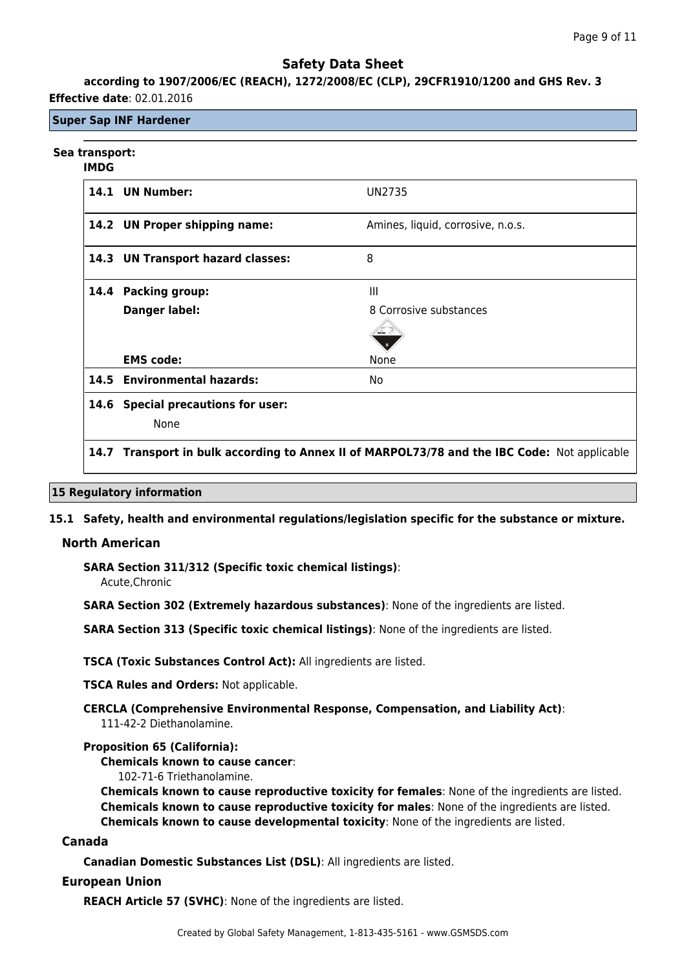## **according to 1907/2006/EC (REACH), 1272/2008/EC (CLP), 29CFR1910/1200 and GHS Rev. 3 Effective date**: 02.01.2016

## **Super Sap INF Hardener**

## **Sea transport:**

#### **IMDG**

|      | 14.1 UN Number:                      | <b>UN2735</b>                     |
|------|--------------------------------------|-----------------------------------|
|      | 14.2 UN Proper shipping name:        | Amines, liquid, corrosive, n.o.s. |
|      | 14.3 UN Transport hazard classes:    | 8                                 |
| 14.4 | <b>Packing group:</b>                | $\mathbf{III}$                    |
|      | <b>Danger label:</b>                 | 8 Corrosive substances            |
|      |                                      |                                   |
|      | <b>EMS code:</b>                     | None                              |
|      | 14.5 Environmental hazards:          | No.                               |
| 14.6 | <b>Special precautions for user:</b> |                                   |
|      | None                                 |                                   |
|      |                                      |                                   |

## **14.7 Transport in bulk according to Annex II of MARPOL73/78 and the IBC Code:** Not applicable

#### **15 Regulatory information**

#### **15.1 Safety, health and environmental regulations/legislation specific for the substance or mixture.**

#### **North American**

**SARA Section 311/312 (Specific toxic chemical listings)**:

Acute,Chronic

**SARA Section 302 (Extremely hazardous substances)**: None of the ingredients are listed.

**SARA Section 313 (Specific toxic chemical listings)**: None of the ingredients are listed.

**TSCA (Toxic Substances Control Act):** All ingredients are listed.

**TSCA Rules and Orders:** Not applicable.

**CERCLA (Comprehensive Environmental Response, Compensation, and Liability Act)**: 111-42-2 Diethanolamine.

#### **Proposition 65 (California):**

**Chemicals known to cause cancer**:

102-71-6 Triethanolamine.

**Chemicals known to cause reproductive toxicity for females**: None of the ingredients are listed. **Chemicals known to cause reproductive toxicity for males**: None of the ingredients are listed. **Chemicals known to cause developmental toxicity**: None of the ingredients are listed.

### **Canada**

**Canadian Domestic Substances List (DSL)**: All ingredients are listed.

## **European Union**

**REACH Article 57 (SVHC)**: None of the ingredients are listed.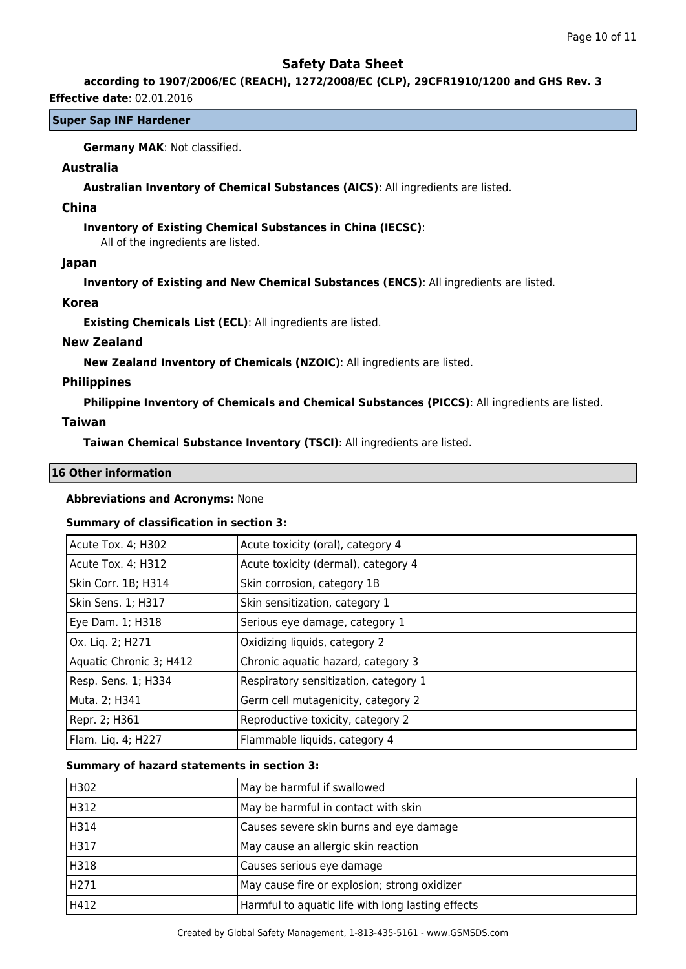## **according to 1907/2006/EC (REACH), 1272/2008/EC (CLP), 29CFR1910/1200 and GHS Rev. 3**

### **Effective date**: 02.01.2016

## **Super Sap INF Hardener**

**Germany MAK**: Not classified.

## **Australia**

**Australian Inventory of Chemical Substances (AICS)**: All ingredients are listed.

## **China**

## **Inventory of Existing Chemical Substances in China (IECSC)**:

All of the ingredients are listed.

### **Japan**

**Inventory of Existing and New Chemical Substances (ENCS)**: All ingredients are listed.

### **Korea**

**Existing Chemicals List (ECL)**: All ingredients are listed.

## **New Zealand**

**New Zealand Inventory of Chemicals (NZOIC)**: All ingredients are listed.

## **Philippines**

**Philippine Inventory of Chemicals and Chemical Substances (PICCS)**: All ingredients are listed.

## **Taiwan**

**Taiwan Chemical Substance Inventory (TSCI)**: All ingredients are listed.

## **16 Other information**

## **Abbreviations and Acronyms:** None

## **Summary of classification in section 3:**

| Acute Tox. 4; H302      | Acute toxicity (oral), category 4     |
|-------------------------|---------------------------------------|
| Acute Tox. 4; H312      | Acute toxicity (dermal), category 4   |
| Skin Corr. 1B; H314     | Skin corrosion, category 1B           |
| Skin Sens. 1; H317      | Skin sensitization, category 1        |
| Eye Dam. 1; H318        | Serious eye damage, category 1        |
| Ox. Liq. 2; H271        | Oxidizing liquids, category 2         |
| Aquatic Chronic 3; H412 | Chronic aquatic hazard, category 3    |
| Resp. Sens. 1; H334     | Respiratory sensitization, category 1 |
| Muta. 2; H341           | Germ cell mutagenicity, category 2    |
| Repr. 2; H361           | Reproductive toxicity, category 2     |
| Flam. Lig. 4; H227      | Flammable liquids, category 4         |

## **Summary of hazard statements in section 3:**

| H302 | May be harmful if swallowed                       |
|------|---------------------------------------------------|
| H312 | May be harmful in contact with skin               |
| H314 | Causes severe skin burns and eye damage           |
| H317 | May cause an allergic skin reaction               |
| H318 | Causes serious eye damage                         |
| H271 | May cause fire or explosion; strong oxidizer      |
| H412 | Harmful to aquatic life with long lasting effects |